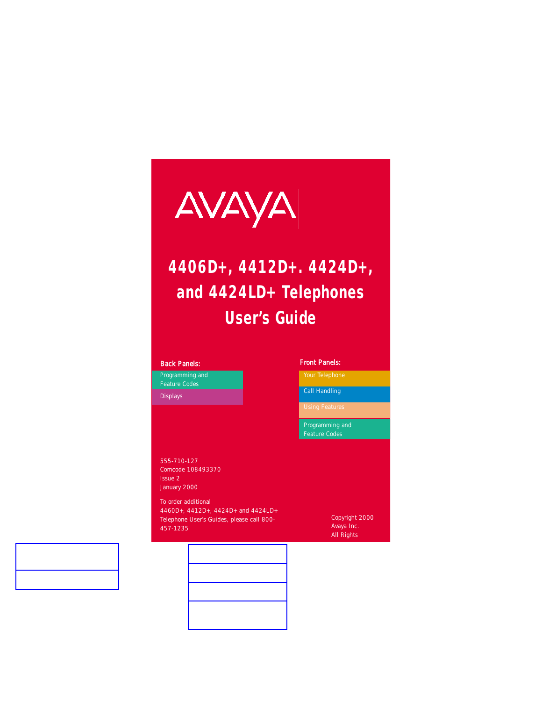

# **4406D+, 4412D+. 4424D+, and 4424LD+ Telephones User's Guide**

[Programming and](#page-9-0) Feature Codes

[Displays](#page-21-0)

#### *Back Panels: Front Panels:*

[Your Telephone](#page-1-0)

[Call Handling](#page-4-0)

[Programming and](#page-9-0) Feature Codes

555-710-127 Comcode 108493370 Issue 2 January 2000

To order additional 4460D+, 4412D+, 4424D+ and 4424LD+ Telephone User's Guides, please call 800- 457-1235

Copyright 2000 Avaya Inc. All Rights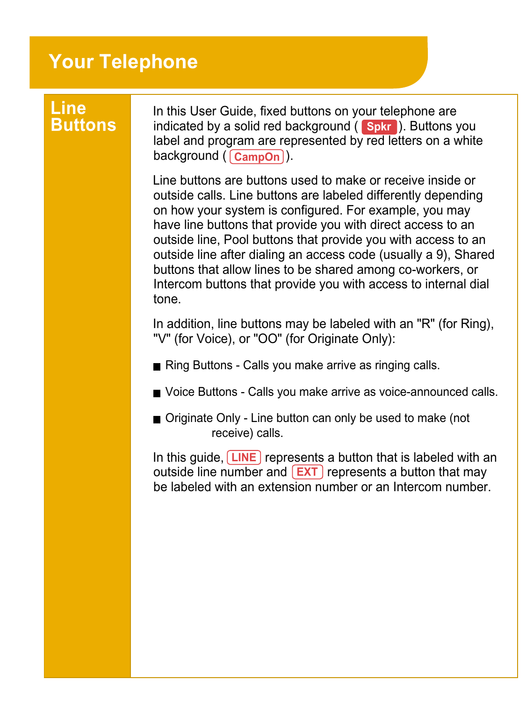### <span id="page-1-0"></span>**Your Telephone**

## **Line**

**Buttons** indicated by a solid red background ( **Spkr**). Buttons you In this User Guide, fixed buttons on your telephone are label and program are represented by red letters on a white background ( <mark>CampOn</mark> ).

> Line buttons are buttons used to make or receive inside or outside calls. Line buttons are labeled differently depending on how your system is configured. For example, you may have line buttons that provide you with direct access to an outside line, Pool buttons that provide you with access to an outside line after dialing an access code (usually a 9), Shared buttons that allow lines to be shared among co-workers, or Intercom buttons that provide you with access to internal dial tone.

> In addition, line buttons may be labeled with an "R" (for Ring), "V" (for Voice), or "OO" (for Originate Only):

Ring Buttons - Calls you make arrive as ringing calls.

Voice Buttons - Calls you make arrive as voice-announced calls.

■ Originate Only - Line button can only be used to make (not receive) calls.

In this guide, **LINE** represents a button that is labeled with an outside line number and **EXT** represents a button that may be labeled with an extension number or an Intercom number.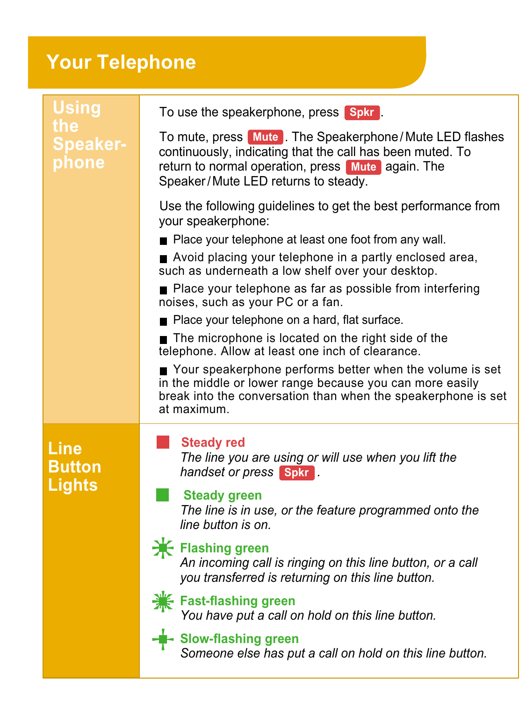### **Your Telephone**

| <b>Using</b><br>the<br><b>Speaker-</b><br>phone | To use the speakerphone, press <b>Spkr</b> .<br>To mute, press Mute . The Speakerphone/Mute LED flashes<br>continuously, indicating that the call has been muted. To<br>return to normal operation, press Mute again. The<br>Speaker/Mute LED returns to steady.<br>Use the following guidelines to get the best performance from<br>your speakerphone:<br>■ Place your telephone at least one foot from any wall.<br>Avoid placing your telephone in a partly enclosed area,<br>such as underneath a low shelf over your desktop.<br>■ Place your telephone as far as possible from interfering<br>noises, such as your PC or a fan.<br>Place your telephone on a hard, flat surface.<br>The microphone is located on the right side of the<br>telephone. Allow at least one inch of clearance.<br>Your speakerphone performs better when the volume is set<br>in the middle or lower range because you can more easily<br>break into the conversation than when the speakerphone is set<br>at maximum. |
|-------------------------------------------------|----------------------------------------------------------------------------------------------------------------------------------------------------------------------------------------------------------------------------------------------------------------------------------------------------------------------------------------------------------------------------------------------------------------------------------------------------------------------------------------------------------------------------------------------------------------------------------------------------------------------------------------------------------------------------------------------------------------------------------------------------------------------------------------------------------------------------------------------------------------------------------------------------------------------------------------------------------------------------------------------------------|
| Line<br><b>Button</b><br>Lights                 | <b>Steady red</b><br>The line you are using or will use when you lift the<br>handset or press <b>Spkr</b><br><b>Steady green</b><br>The line is in use, or the feature programmed onto the<br>line button is on.<br><b>K</b> Flashing green<br>An incoming call is ringing on this line button, or a call<br>you transferred is returning on this line button.<br><b>¥ Fast-flashing green</b><br>You have put a call on hold on this line button.<br>- Slow-flashing green<br>Someone else has put a call on hold on this line button.                                                                                                                                                                                                                                                                                                                                                                                                                                                                  |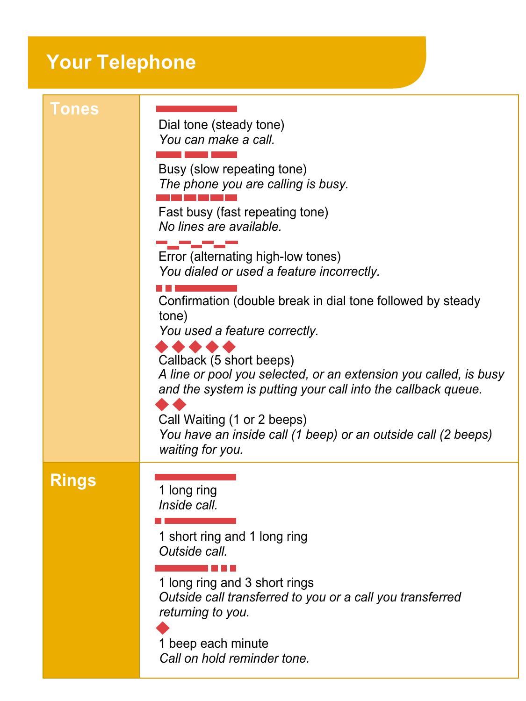### **Your Telephone**

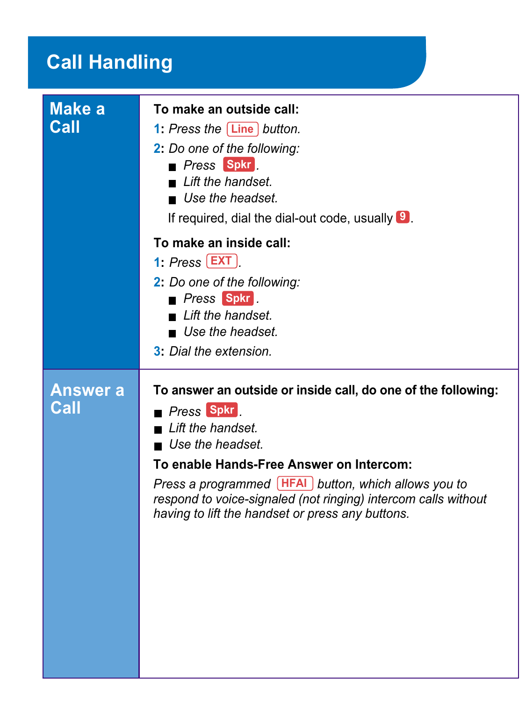### <span id="page-4-0"></span>**Call Handling**

| <b>Make a</b><br>Call   | To make an outside call:<br>1: Press the [Line] button.<br>2: Do one of the following:<br><b>Press Spkr</b><br>$\blacksquare$ I ift the handset.<br>$\blacksquare$ Use the headset<br>If required, dial the dial-out code, usually $\boxed{9}$ .<br>To make an inside call:<br>1: $Press$ [EXT]<br>2: Do one of the following:<br>Press Spkr.<br>$\blacksquare$ Lift the handset.<br>$\blacksquare$ Use the headset.<br>3: Dial the extension. |
|-------------------------|------------------------------------------------------------------------------------------------------------------------------------------------------------------------------------------------------------------------------------------------------------------------------------------------------------------------------------------------------------------------------------------------------------------------------------------------|
|                         |                                                                                                                                                                                                                                                                                                                                                                                                                                                |
| <b>Answer a</b><br>Call | To answer an outside or inside call, do one of the following:<br>Press Spkr<br>$\blacksquare$ Lift the handset.<br>$\blacksquare$ Use the headset.<br>To enable Hands-Free Answer on Intercom:<br>Press a programmed [HFAI] button, which allows you to<br>respond to voice-signaled (not ringing) intercom calls without<br>having to lift the handset or press any buttons.                                                                  |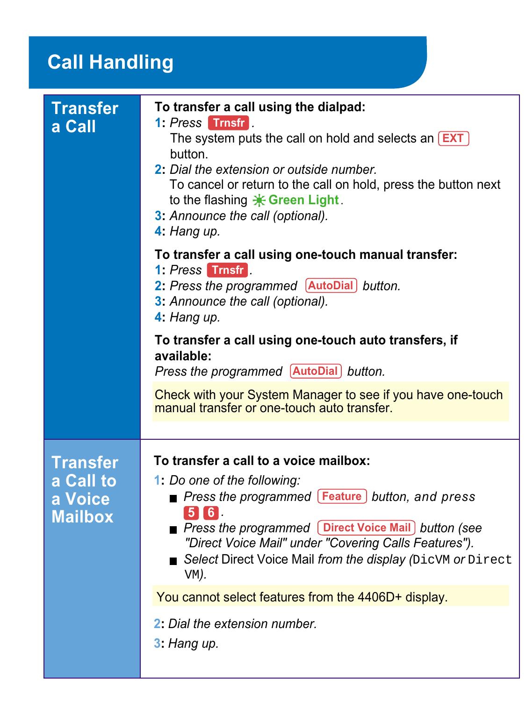### **Call Handling**

| <b>Transfer</b><br>a Call | To transfer a call using the dialpad:<br>1: Press Trnsfr<br>The system puts the call on hold and selects an <b>EXT</b><br>button.<br>2: Dial the extension or outside number.<br>To cancel or return to the call on hold, press the button next<br>to the flashing $*$ Green Light.<br>3: Announce the call (optional).<br>4: Hang up. |
|---------------------------|----------------------------------------------------------------------------------------------------------------------------------------------------------------------------------------------------------------------------------------------------------------------------------------------------------------------------------------|
|                           | To transfer a call using one-touch manual transfer:<br>1: Press Trnsfr<br>2: Press the programmed [AutoDial] button.<br>3: Announce the call (optional).<br>4: Hang up.                                                                                                                                                                |
|                           | To transfer a call using one-touch auto transfers, if<br>available:<br>Press the programmed [AutoDial] button.                                                                                                                                                                                                                         |
|                           | Check with your System Manager to see if you have one-touch<br>manual transfer or one-touch auto transfer.                                                                                                                                                                                                                             |
|                           |                                                                                                                                                                                                                                                                                                                                        |
| <b>Transfer</b>           | To transfer a call to a voice mailbox:                                                                                                                                                                                                                                                                                                 |
| a Call to                 | 1: Do one of the following:                                                                                                                                                                                                                                                                                                            |
| a Voice<br><b>Mailbox</b> | <b>Press the programmed [Feature ] button, and press</b><br>56<br>Press the programmed [Direct Voice Mail] button (see<br>"Direct Voice Mail" under "Covering Calls Features").<br>Select Direct Voice Mail from the display (DicVM or Direct<br>VM).                                                                                  |
|                           | You cannot select features from the 4406D+ display.                                                                                                                                                                                                                                                                                    |
|                           | 2: Dial the extension number.<br>$3:$ Hang up.                                                                                                                                                                                                                                                                                         |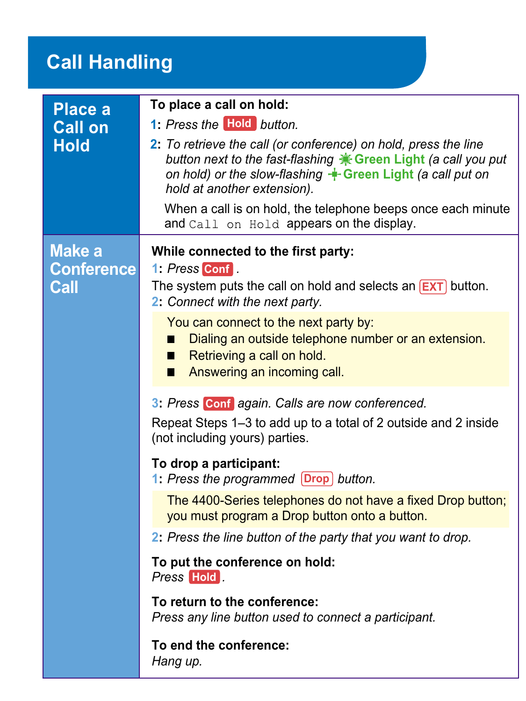### **Call Handling**

| Place a<br><b>Call on</b><br>Hold | To place a call on hold:<br>1: Press the Hold button.<br>2: To retrieve the call (or conference) on hold, press the line<br>button next to the fast-flashing * Green Light (a call you put<br>on hold) or the slow-flashing $+$ Green Light (a call put on<br>hold at another extension).<br>When a call is on hold, the telephone beeps once each minute<br>and Call on Hold appears on the display.                                                                                                                                                                                                                                                                                                                                                                                                                              |
|-----------------------------------|------------------------------------------------------------------------------------------------------------------------------------------------------------------------------------------------------------------------------------------------------------------------------------------------------------------------------------------------------------------------------------------------------------------------------------------------------------------------------------------------------------------------------------------------------------------------------------------------------------------------------------------------------------------------------------------------------------------------------------------------------------------------------------------------------------------------------------|
| Make a<br>Conference<br>Call      | While connected to the first party:<br>1: Press Conf.<br>The system puts the call on hold and selects an $[EXT]$ button.<br>2: Connect with the next party.<br>You can connect to the next party by:<br>Dialing an outside telephone number or an extension.<br>ш<br>Retrieving a call on hold.<br>П<br>Answering an incoming call.<br>П<br>3: Press Conf again. Calls are now conferenced.<br>Repeat Steps 1–3 to add up to a total of 2 outside and 2 inside<br>(not including yours) parties.<br>To drop a participant:<br>1: Press the programmed Drop button.<br>The 4400-Series telephones do not have a fixed Drop button;<br>you must program a Drop button onto a button.<br>2: Press the line button of the party that you want to drop.<br>To put the conference on hold:<br>Press Hold<br>To return to the conference: |
|                                   | Press any line button used to connect a participant.<br>To end the conference:<br>Hang up.                                                                                                                                                                                                                                                                                                                                                                                                                                                                                                                                                                                                                                                                                                                                         |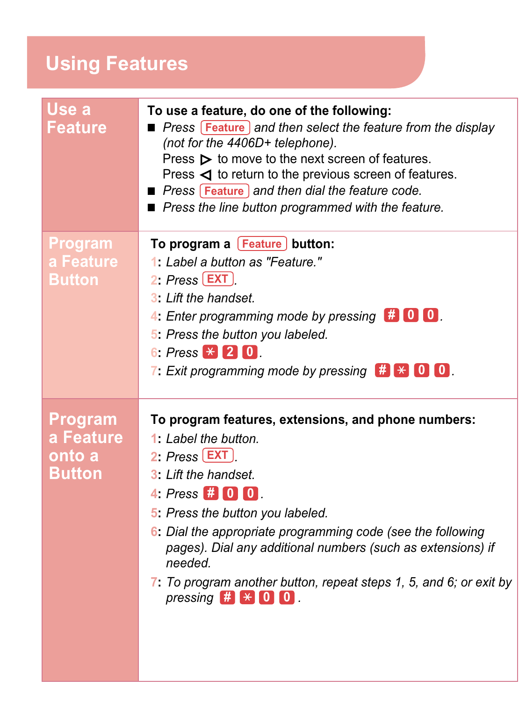### <span id="page-7-0"></span>**Using Features**

| Use a<br>Feature | To use a feature, do one of the following:<br>Press Feature and then select the feature from the display<br>(not for the 4406D+ telephone).<br>Press $\triangleright$ to move to the next screen of features.<br>Press $\triangleleft$ to return to the previous screen of features.<br><b>Press Feature and then dial the feature code.</b><br>■ Press the line button programmed with the feature. |
|------------------|------------------------------------------------------------------------------------------------------------------------------------------------------------------------------------------------------------------------------------------------------------------------------------------------------------------------------------------------------------------------------------------------------|
| Program          | To program a <b>[Feature]</b> button:                                                                                                                                                                                                                                                                                                                                                                |
| a Feature        | 1: Label a button as "Feature."                                                                                                                                                                                                                                                                                                                                                                      |
| Button           | 2: $Press$ $[EXT]$                                                                                                                                                                                                                                                                                                                                                                                   |
|                  | 3: Lift the handset.                                                                                                                                                                                                                                                                                                                                                                                 |
|                  | 4: Enter programming mode by pressing $\left  \begin{array}{cc} \text{#} & \text{0} \end{array} \right $                                                                                                                                                                                                                                                                                             |
|                  | 5: Press the button you labeled.                                                                                                                                                                                                                                                                                                                                                                     |
|                  | 6: Press $\angle 2$ 0                                                                                                                                                                                                                                                                                                                                                                                |
|                  | 7: Exit programming mode by pressing $\bigoplus$ $\bigoplus$ 0 0                                                                                                                                                                                                                                                                                                                                     |
| Program          | To program features, extensions, and phone numbers:                                                                                                                                                                                                                                                                                                                                                  |
| a Feature        | $1: I$ abel the button.                                                                                                                                                                                                                                                                                                                                                                              |
| onto a           | 2: $Press$ $[EXT]$                                                                                                                                                                                                                                                                                                                                                                                   |
| Button           | 3: Lift the handset.                                                                                                                                                                                                                                                                                                                                                                                 |
|                  | 4: Press $# 0 0 $                                                                                                                                                                                                                                                                                                                                                                                    |
|                  | 5: Press the button you labeled.                                                                                                                                                                                                                                                                                                                                                                     |
|                  | 6: Dial the appropriate programming code (see the following<br>pages). Dial any additional numbers (such as extensions) if<br>needed.                                                                                                                                                                                                                                                                |
|                  | 7: To program another button, repeat steps 1, 5, and 6; or exit by<br>pressing $#$ $*$ 0 0                                                                                                                                                                                                                                                                                                           |
|                  |                                                                                                                                                                                                                                                                                                                                                                                                      |
|                  |                                                                                                                                                                                                                                                                                                                                                                                                      |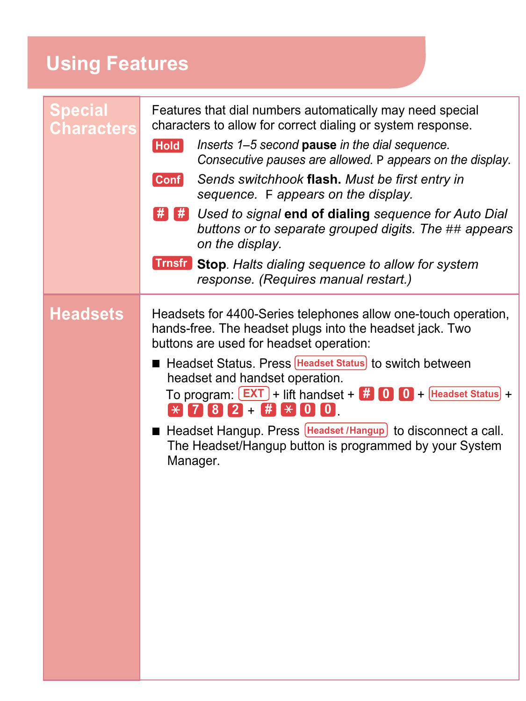### **Using Features**

| Special<br>Characters | Features that dial numbers automatically may need special<br>characters to allow for correct dialing or system response.<br>Inserts 1-5 second pause in the dial sequence.<br><b>Hold</b><br>Consecutive pauses are allowed. P appears on the display.<br>Sends switchhook flash. Must be first entry in<br><b>Conf</b><br>sequence. F appears on the display.<br>$\frac{1}{n}$ $\frac{1}{n}$ Used to signal end of dialing sequence for Auto Dial<br>buttons or to separate grouped digits. The ## appears<br>on the display.<br><b>Trnsfr</b> Stop. Halts dialing sequence to allow for system<br>response. (Requires manual restart.) |  |
|-----------------------|------------------------------------------------------------------------------------------------------------------------------------------------------------------------------------------------------------------------------------------------------------------------------------------------------------------------------------------------------------------------------------------------------------------------------------------------------------------------------------------------------------------------------------------------------------------------------------------------------------------------------------------|--|
| <b>Headsets</b>       | Headsets for 4400-Series telephones allow one-touch operation,<br>hands-free. The headset plugs into the headset jack. Two<br>buttons are used for headset operation:<br>■ Headset Status. Press <b>Headset Status</b> to switch between<br>headset and handset operation.<br>To program: $\boxed{\mathsf{EXT}}$ + lift handset + $\boxed{\mathsf{A}\ \mathsf{O}}$ $\boxed{\mathsf{O}}$ + Headset Status +<br>$*$ 782 + # $\bullet$ 00<br>■ Headset Hangup. Press Headset / Hangup to disconnect a call.<br>The Headset/Hangup button is programmed by your System<br>Manager.                                                           |  |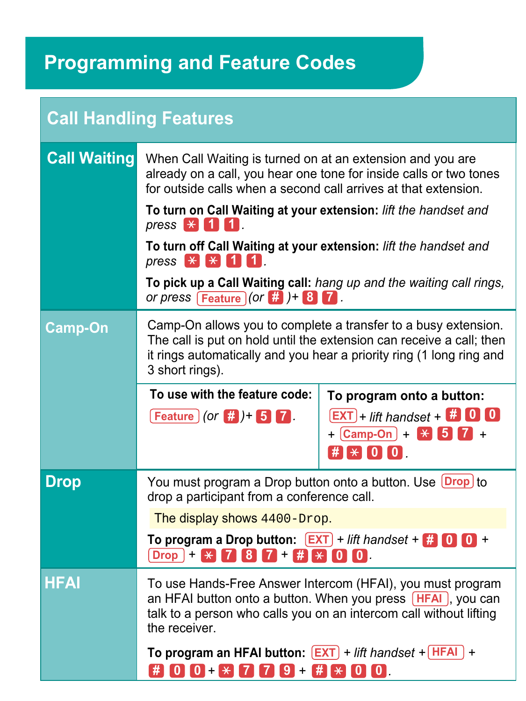<span id="page-9-0"></span>

| <b>Call Handling Features</b> |                                                                                                                                                                                                                                                                         |                                                    |
|-------------------------------|-------------------------------------------------------------------------------------------------------------------------------------------------------------------------------------------------------------------------------------------------------------------------|----------------------------------------------------|
| <b>Call Waiting</b>           | When Call Waiting is turned on at an extension and you are<br>already on a call, you hear one tone for inside calls or two tones<br>for outside calls when a second call arrives at that extension.                                                                     |                                                    |
|                               | To turn on Call Waiting at your extension: lift the handset and<br>press $*$ 111.                                                                                                                                                                                       |                                                    |
|                               | To turn off Call Waiting at your extension: lift the handset and<br>press $\mathbb{R}$ $\mathbb{R}$ $\mathbb{1}$ $\mathbb{1}$ .<br>To pick up a Call Waiting call: hang up and the waiting call rings,<br>or press $\boxed{\text{Feature}}$ (or $\frac{4}{11}$ ) + 8 7. |                                                    |
|                               |                                                                                                                                                                                                                                                                         |                                                    |
| <b>Camp-On</b>                | Camp-On allows you to complete a transfer to a busy extension.<br>The call is put on hold until the extension can receive a call; then<br>it rings automatically and you hear a priority ring (1 long ring and<br>3 short rings).                                       |                                                    |
|                               | To use with the feature code:                                                                                                                                                                                                                                           | To program onto a button:                          |
|                               | Feature $($ or $#$ ) + 5 7.                                                                                                                                                                                                                                             | $[EXT]$ + lift handset + $\blacksquare$ 0 0        |
|                               |                                                                                                                                                                                                                                                                         | $+$ $\times$ 6 $\overline{7}$ +<br>$\#$ $\#$ 0 0 0 |
| <b>Drop</b>                   | You must program a Drop button onto a button. Use Drop to<br>drop a participant from a conference call.                                                                                                                                                                 |                                                    |
|                               | The display shows 4400-Drop.                                                                                                                                                                                                                                            |                                                    |
|                               | To program a Drop button: $[EXT]$ + lift handset + $[$ . 0 0 +<br>$\boxed{\text{Drop}}$ + $\angle$ 7 8 7 + $\frac{4}{5}$ $\angle$ 0 0                                                                                                                                   |                                                    |
| <b>HFAI</b>                   | To use Hands-Free Answer Intercom (HFAI), you must program<br>an HFAI button onto a button. When you press [HFAI], you can<br>talk to a person who calls you on an intercom call without lifting<br>the receiver.                                                       |                                                    |
|                               | To program an HFAI button: $[EXT]$ + lift handset + $[HERI]$ +<br>$\#$ 0 0 + $\#$ 7 7 9 + $\#$ $\#$ 0 0 .                                                                                                                                                               |                                                    |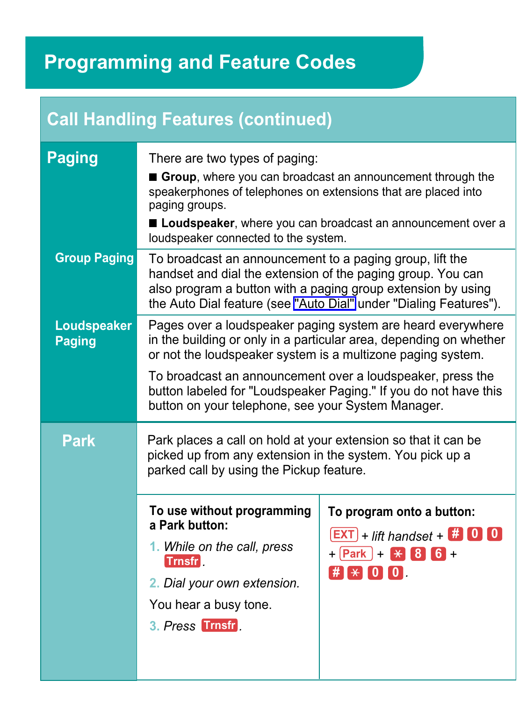| <b>Call Handling Features (continued)</b> |                                                                                                                                                                                                                                                                                                                                                                                          |                                                                                                                                                   |
|-------------------------------------------|------------------------------------------------------------------------------------------------------------------------------------------------------------------------------------------------------------------------------------------------------------------------------------------------------------------------------------------------------------------------------------------|---------------------------------------------------------------------------------------------------------------------------------------------------|
| <b>Paging</b>                             | There are two types of paging:<br>Group, where you can broadcast an announcement through the<br>speakerphones of telephones on extensions that are placed into<br>paging groups.<br>Loudspeaker, where you can broadcast an announcement over a<br>loudspeaker connected to the system.                                                                                                  |                                                                                                                                                   |
| <b>Group Paging</b>                       | To broadcast an announcement to a paging group, lift the<br>handset and dial the extension of the paging group. You can<br>also program a button with a paging group extension by using<br>the Auto Dial feature (see "Auto Dial" under "Dialing Features").                                                                                                                             |                                                                                                                                                   |
| Loudspeaker<br><b>Paging</b>              | Pages over a loudspeaker paging system are heard everywhere<br>in the building or only in a particular area, depending on whether<br>or not the loudspeaker system is a multizone paging system.<br>To broadcast an announcement over a loudspeaker, press the<br>button labeled for "Loudspeaker Paging." If you do not have this<br>button on your telephone, see your System Manager. |                                                                                                                                                   |
| <b>Park</b>                               | Park places a call on hold at your extension so that it can be<br>picked up from any extension in the system. You pick up a<br>parked call by using the Pickup feature.                                                                                                                                                                                                                  |                                                                                                                                                   |
|                                           | To use without programming<br>a Park button:<br>1. While on the call, press<br><b>Trnsfr</b><br>2. Dial your own extension.<br>You hear a busy tone.<br>3. Press Trnsfr                                                                                                                                                                                                                  | To program onto a button:<br>$[EXT]$ + lift handset + $\#$ 0 0<br>$+$ $($ Park $) +$ $($ $\frac{1}{2}$ $($ $\frac{1}{6}$ $) +$<br>$\#$ $\#$ 0 0 0 |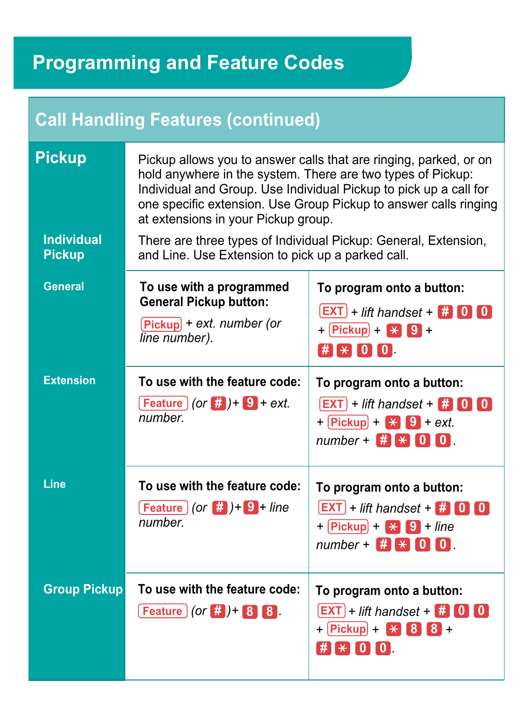### **Call Handling Features (continued)**

| <b>Pickup</b>                      | Pickup allows you to answer calls that are ringing, parked, or on<br>hold anywhere in the system. There are two types of Pickup:<br>Individual and Group. Use Individual Pickup to pick up a call for<br>one specific extension. Use Group Pickup to answer calls ringing<br>at extensions in your Pickup group. |                                                                                                                                                              |
|------------------------------------|------------------------------------------------------------------------------------------------------------------------------------------------------------------------------------------------------------------------------------------------------------------------------------------------------------------|--------------------------------------------------------------------------------------------------------------------------------------------------------------|
| <b>Individual</b><br><b>Pickup</b> | There are three types of Individual Pickup: General, Extension,<br>and Line. Use Extension to pick up a parked call.                                                                                                                                                                                             |                                                                                                                                                              |
| <b>General</b>                     | To use with a programmed<br><b>General Pickup button:</b><br>$Pickup$ + ext. number (or<br>line number).                                                                                                                                                                                                         | To program onto a button:<br>$ EXT $ + lift handset + $# 0 0$<br>$+$ Pickup + $+$ 9 +<br>$\#$ $\mathbb{R}$ $\setminus$ $\lceil 0 \rceil$ $\lceil 0 \rceil$ . |
| <b>Extension</b>                   | To use with the feature code:<br>$[Feature] (or  # ) + 9 + ext.$<br>number.                                                                                                                                                                                                                                      | To program onto a button:<br>$[EXT]$ + lift handset + $\#$ 0 0<br>$+$ Pickup + $\angle$ 9 + ext.<br>number + $#$ $*$ 0 0                                     |
| Line                               | To use with the feature code:<br>$[Feature](or$ $\#$ ) + 9 + line<br>number.                                                                                                                                                                                                                                     | To program onto a button:<br>$[EXT]$ + lift handset + $\#$ 0 0<br>$+$ Pickup + $+$ 9 + line<br>$number + 1 + 0 0$                                            |
| <b>Group Pickup</b>                | To use with the feature code:<br><b>Feature</b> $ $ (or $#$ ) + 8 8                                                                                                                                                                                                                                              | To program onto a button:<br>$[EXT]$ + lift handset + $\#$ 0 0<br>$+$ Pickup + $+$ 8 8 +                                                                     |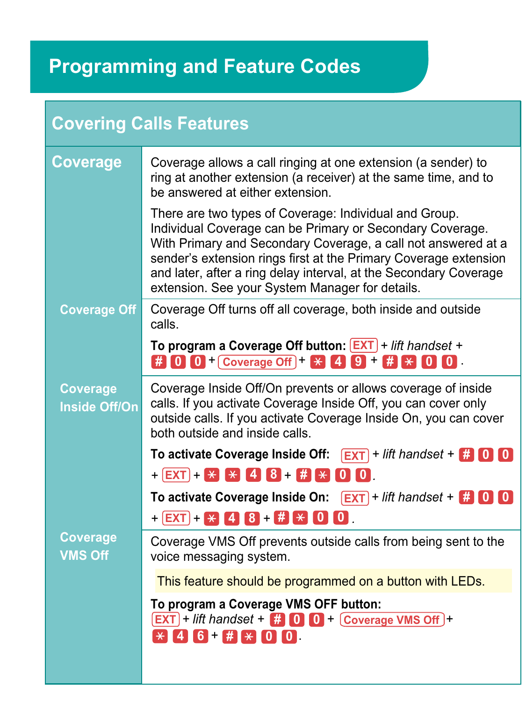| <b>Covering Calls Features</b>          |                                                                                                                                                                                                                                                                                                                                                                                  |  |
|-----------------------------------------|----------------------------------------------------------------------------------------------------------------------------------------------------------------------------------------------------------------------------------------------------------------------------------------------------------------------------------------------------------------------------------|--|
| <b>Coverage</b>                         | Coverage allows a call ringing at one extension (a sender) to<br>ring at another extension (a receiver) at the same time, and to<br>be answered at either extension.                                                                                                                                                                                                             |  |
|                                         | There are two types of Coverage: Individual and Group.<br>Individual Coverage can be Primary or Secondary Coverage.<br>With Primary and Secondary Coverage, a call not answered at a<br>sender's extension rings first at the Primary Coverage extension<br>and later, after a ring delay interval, at the Secondary Coverage<br>extension. See your System Manager for details. |  |
| <b>Coverage Off</b>                     | Coverage Off turns off all coverage, both inside and outside<br>calls.                                                                                                                                                                                                                                                                                                           |  |
|                                         | To program a Coverage Off button: <b>EXT</b> + lift handset +<br>$\frac{1}{2}$ 0 0 + Coverage Off + $\frac{1}{2}$ 4 9 + $\frac{1}{2}$ $\frac{1}{2}$ 0 0                                                                                                                                                                                                                          |  |
| <b>Coverage</b><br><b>Inside Off/On</b> | Coverage Inside Off/On prevents or allows coverage of inside<br>calls. If you activate Coverage Inside Off, you can cover only<br>outside calls. If you activate Coverage Inside On, you can cover<br>both outside and inside calls.                                                                                                                                             |  |
|                                         | To activate Coverage Inside Off: $\sqrt{[EXT]}$ + lift handset + $\frac{1}{[E]}$ 0 0                                                                                                                                                                                                                                                                                             |  |
|                                         | $+$ $[EXT] +$ $*$ $*$ $[4]$ $[8] +$ $#$ $*$ $[0]$ $[0]$ .                                                                                                                                                                                                                                                                                                                        |  |
|                                         | To activate Coverage Inside On: $\sqrt{[EXT]}$ + lift handset + $\frac{1}{11}$ 0 0<br>$+$ <b>EXT</b> + <b>X</b> 4 8 + # $\neq$ 0 0                                                                                                                                                                                                                                               |  |
| Coverage<br><b>VMS Off</b>              | Coverage VMS Off prevents outside calls from being sent to the<br>voice messaging system.                                                                                                                                                                                                                                                                                        |  |
|                                         | This feature should be programmed on a button with LEDs.                                                                                                                                                                                                                                                                                                                         |  |
|                                         | To program a Coverage VMS OFF button:<br>$\boxed{\text{EXT}}$ + lift handset + $\frac{m}{n}$ 0 0 + $\boxed{\text{Coverage VMS Off}}$ +<br>$*$ 46 # $*$ 00                                                                                                                                                                                                                        |  |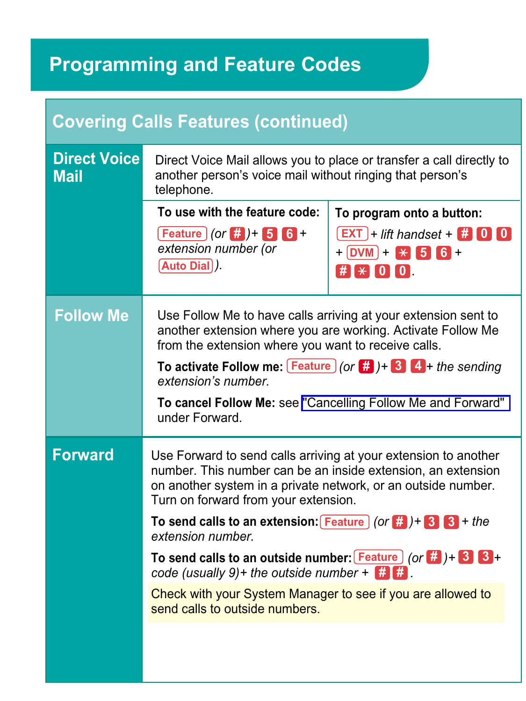| <b>Covering Calls Features (continued)</b> |                                                                                                                                                                                                                                          |                                                                   |  |
|--------------------------------------------|------------------------------------------------------------------------------------------------------------------------------------------------------------------------------------------------------------------------------------------|-------------------------------------------------------------------|--|
| <b>Direct Voice</b><br><b>Mail</b>         | Direct Voice Mail allows you to place or transfer a call directly to<br>another person's voice mail without ringing that person's<br>telephone.                                                                                          |                                                                   |  |
|                                            | To use with the feature code:                                                                                                                                                                                                            | To program onto a button:                                         |  |
|                                            | $[Feature] (or  # ) + 5 6 +$<br>extension number (or<br>Auto Dial).                                                                                                                                                                      | $[EXT] + \textit{lift}$ handset + $\#$ 0 0<br>$+$ DVM + $+$ 5 6 + |  |
|                                            |                                                                                                                                                                                                                                          | $\#$ $\#$ $\#$ $\{0\}$ $\{0\}$                                    |  |
| <b>Follow Me</b>                           | Use Follow Me to have calls arriving at your extension sent to<br>another extension where you are working. Activate Follow Me<br>from the extension where you want to receive calls.                                                     |                                                                   |  |
|                                            | To activate Follow me: $[Feature](or  # ) + 3 4 + the sending$<br>extension's number.                                                                                                                                                    |                                                                   |  |
|                                            | under Forward.                                                                                                                                                                                                                           | To cancel Follow Me: see "Cancelling Follow Me and Forward"       |  |
| <b>Forward</b>                             | Use Forward to send calls arriving at your extension to another<br>number. This number can be an inside extension, an extension<br>on another system in a private network, or an outside number.<br>Turn on forward from your extension. |                                                                   |  |
|                                            | To send calls to an extension: $F$ Feature $($ or $F$ $)$ + $S$ $S$ + the<br>extension number.                                                                                                                                           |                                                                   |  |
|                                            | To send calls to an outside number: $[Feature] (or 4) + 8$<br>code (usually 9)+ the outside number + $\frac{1}{2}$ , $\frac{1}{2}$                                                                                                       |                                                                   |  |
|                                            | Check with your System Manager to see if you are allowed to<br>send calls to outside numbers.                                                                                                                                            |                                                                   |  |
|                                            |                                                                                                                                                                                                                                          |                                                                   |  |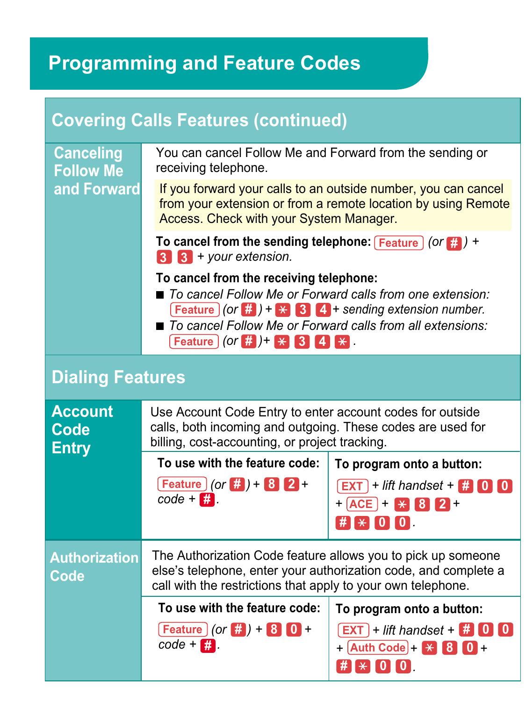<span id="page-14-0"></span>

| <b>Covering Calls Features (continued)</b> |                                                                                                                                                                                                                                                                               |                                                                                           |  |
|--------------------------------------------|-------------------------------------------------------------------------------------------------------------------------------------------------------------------------------------------------------------------------------------------------------------------------------|-------------------------------------------------------------------------------------------|--|
| <b>Canceling</b><br><b>Follow Me</b>       | You can cancel Follow Me and Forward from the sending or<br>receiving telephone.                                                                                                                                                                                              |                                                                                           |  |
| and Forward                                | If you forward your calls to an outside number, you can cancel<br>from your extension or from a remote location by using Remote<br>Access. Check with your System Manager.                                                                                                    |                                                                                           |  |
|                                            | To cancel from the sending telephone: $F_{\text{feature}}$ (or $F_{\text{right}}$ ) +<br>$3 \t3$ + your extension.                                                                                                                                                            |                                                                                           |  |
|                                            | To cancel from the receiving telephone:<br>■ To cancel Follow Me or Forward calls from one extension:<br>$[Feature](or   #) + \times 3$ 4 + sending extension number.<br>■ To cancel Follow Me or Forward calls from all extensions:<br><b>Feature</b> (or $#$ ) + $*$ 34 $*$ |                                                                                           |  |
| <b>Dialing Features</b>                    |                                                                                                                                                                                                                                                                               |                                                                                           |  |
| <b>Account</b><br>Code<br><b>Entry</b>     | Use Account Code Entry to enter account codes for outside<br>calls, both incoming and outgoing. These codes are used for<br>billing, cost-accounting, or project tracking.                                                                                                    |                                                                                           |  |
|                                            | To use with the feature code:                                                                                                                                                                                                                                                 | To program onto a button:                                                                 |  |
|                                            | <b>Feature</b> $($ or $#$ $) + 8$ <b>2</b> +<br>$code + $                                                                                                                                                                                                                     | $\overline{EXT}$ + lift handset + $\overline{H}$ 0 0<br>$+$ $ACE$ + $X$ $8$ $2$ +         |  |
|                                            |                                                                                                                                                                                                                                                                               | $\#$ $*$ $[0]$ $[0]$                                                                      |  |
| <b>Authorization</b><br>Code               | The Authorization Code feature allows you to pick up someone<br>else's telephone, enter your authorization code, and complete a<br>call with the restrictions that apply to your own telephone.                                                                               |                                                                                           |  |
|                                            | To use with the feature code:                                                                                                                                                                                                                                                 | To program onto a button:                                                                 |  |
|                                            | $[Feature] (or  # ) + 8 0 +$<br>$code - \Box$                                                                                                                                                                                                                                 | $\boxed{\mathsf{EXT}}$ + lift handset + $\boxed{\sharp}$ 0 0<br>$+$ Auth Code + $+$ 8 0 + |  |
|                                            |                                                                                                                                                                                                                                                                               | $\#$ $*$ $\{0\}$ $\{0\}$                                                                  |  |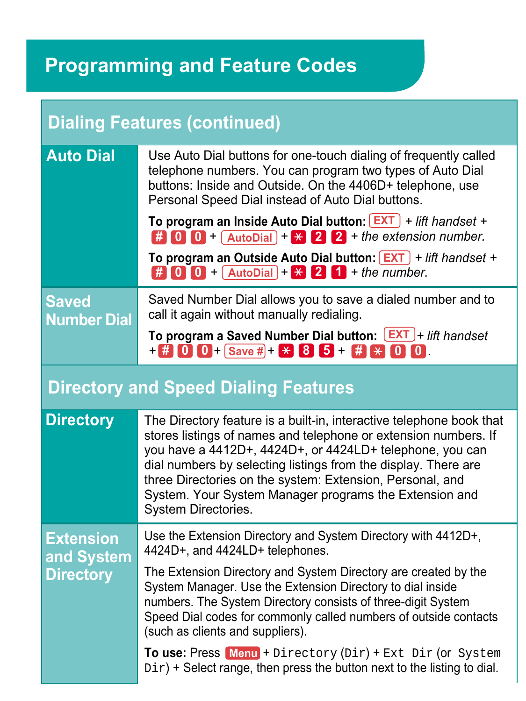<span id="page-15-0"></span>

| <b>Dialing Features (continued)</b>                |                                                                                                                                                                                                                                                                                                                                                                                                                                                                                                                                                |  |
|----------------------------------------------------|------------------------------------------------------------------------------------------------------------------------------------------------------------------------------------------------------------------------------------------------------------------------------------------------------------------------------------------------------------------------------------------------------------------------------------------------------------------------------------------------------------------------------------------------|--|
| <b>Auto Dial</b>                                   | Use Auto Dial buttons for one-touch dialing of frequently called<br>telephone numbers. You can program two types of Auto Dial<br>buttons: Inside and Outside. On the 4406D+ telephone, use<br>Personal Speed Dial instead of Auto Dial buttons.<br>To program an Inside Auto Dial button: $\boxed{\text{EXT}}$ + lift handset +<br>$\frac{1}{2}$ 0 0 + AutoDial + $\frac{1}{2}$ 2 + the extension number.<br>To program an Outside Auto Dial button: $\boxed{\text{EXT}}$ + lift handset +<br>$\#$ 0 0 + AutoDial + $\angle$ 2 1 + the number. |  |
| <b>Saved</b><br><b>Number Dial</b>                 | Saved Number Dial allows you to save a dialed number and to<br>call it again without manually redialing.<br>To program a Saved Number Dial button: [EXT]+ lift handset<br>$+$ $+$ 0 0 + Save # + $+$ 8 5 + # $+$ 0 0 0                                                                                                                                                                                                                                                                                                                         |  |
| <b>Directory and Speed Dialing Features</b>        |                                                                                                                                                                                                                                                                                                                                                                                                                                                                                                                                                |  |
| <b>Directory</b>                                   | The Directory feature is a built-in, interactive telephone book that<br>stores listings of names and telephone or extension numbers. If<br>you have a 4412D+, 4424D+, or 4424LD+ telephone, you can<br>dial numbers by selecting listings from the display. There are<br>three Directories on the system: Extension, Personal, and<br>System. Your System Manager programs the Extension and<br>System Directories.                                                                                                                            |  |
| <b>Extension</b><br>and System<br><b>Directory</b> | Use the Extension Directory and System Directory with 4412D+,<br>4424D+, and 4424LD+ telephones.                                                                                                                                                                                                                                                                                                                                                                                                                                               |  |
|                                                    | The Extension Directory and System Directory are created by the<br>System Manager. Use the Extension Directory to dial inside<br>numbers. The System Directory consists of three-digit System<br>Speed Dial codes for commonly called numbers of outside contacts<br>(such as clients and suppliers).                                                                                                                                                                                                                                          |  |
|                                                    | To use: Press Menu + Directory (Dir) + Ext Dir (or System<br>$Dir$ ) + Select range, then press the button next to the listing to dial.                                                                                                                                                                                                                                                                                                                                                                                                        |  |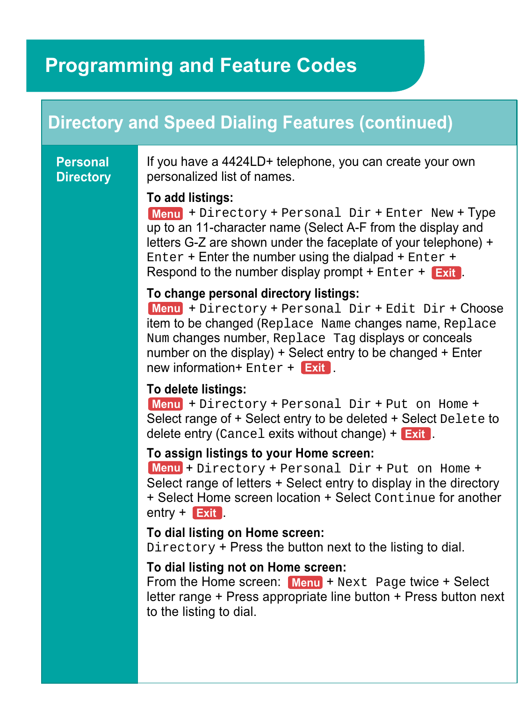### **Directory and Speed Dialing Features (continued)**

#### **Personal Directory**

If you have a 4424LD+ telephone, you can create your own personalized list of names.

#### **To add listings:**

 + Directory + Personal Dir + Enter New + Type **Menu** up to an 11-character name (Select A-F from the display and letters G-Z are shown under the faceplate of your telephone) + Enter + Enter the number using the dialpad + Enter + Respond to the number display prompt + Enter + **Exit**.

#### **To change personal directory listings:**

 + Directory + Personal Dir + Edit Dir + Choose **Menu** item to be changed (Replace Name changes name, Replace Num changes number, Replace Tag displays or conceals number on the display) + Select entry to be changed + Enter new information+ Enter + . **Exit**

#### **To delete listings:**

 + Directory + Personal Dir + Put on Home + **Menu** Select range of + Select entry to be deleted + Select Delete to delete entry (Cancel exits without change) + . **Exit**

#### **To assign listings to your Home screen:**

 + Directory + Personal Dir + Put on Home + **Menu** Select range of letters + Select entry to display in the directory + Select Home screen location + Select Continue for another entry + **Exit** 

#### **To dial listing on Home screen:**

Directory + Press the button next to the listing to dial.

#### **To dial listing not on Home screen:**

**From the Home screen:** Menu + Next Page twice + Select letter range + Press appropriate line button + Press button next to the listing to dial.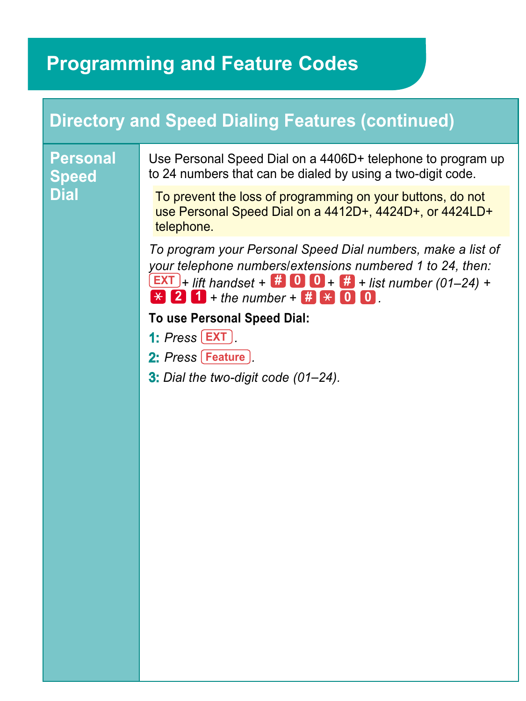### **Directory and Speed Dialing Features (continued)**

**Personal Speed Dial**

Use Personal Speed Dial on a 4406D+ telephone to program up to 24 numbers that can be dialed by using a two-digit code.

To prevent the loss of programming on your buttons, do not use Personal Speed Dial on a 4412D+, 4424D+, or 4424LD+ telephone.

*To program your Personal Speed Dial numbers, make a list of your telephone numbers/extensions numbered 1 to 24, then:* **EXT**  $\frac{1}{2}$  **iift** handset + **# 0 0** + **# +** list number (01–24) +  $\bf{F}$  **2 1** + the number +  $\bf{F}$  **2 0 0**.

**To use Personal Speed Dial:**

- **1:** *Press* **LEXT**
- 2: *Press* [Feature ].
- **3:** *Dial the two-digit code (01-24).*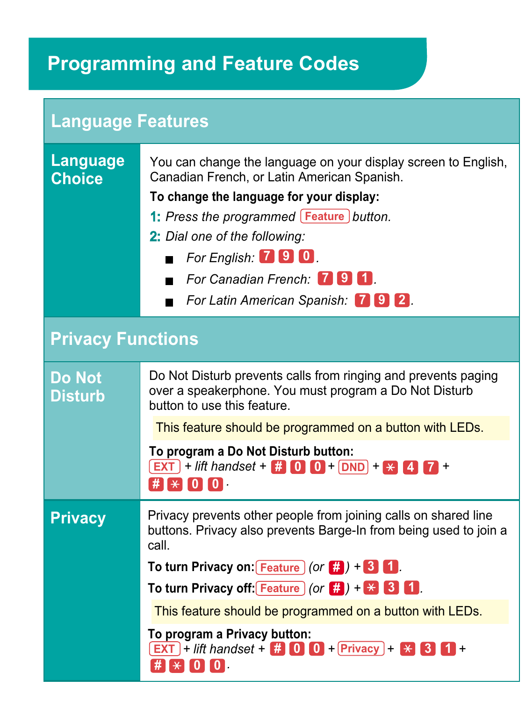| <b>Language Features</b>         |                                                                                                                                                                                                                                                                                                                                                                                                                                                          |  |
|----------------------------------|----------------------------------------------------------------------------------------------------------------------------------------------------------------------------------------------------------------------------------------------------------------------------------------------------------------------------------------------------------------------------------------------------------------------------------------------------------|--|
| <b>Language</b><br><b>Choice</b> | You can change the language on your display screen to English,<br>Canadian French, or Latin American Spanish.<br>To change the language for your display:<br>1: Press the programmed [Feature] button.<br>2: Dial one of the following:<br>For English. $\boxed{1}$ <b>9 0</b> .<br>For Canadian French: <b>1914</b><br>For Latin American Spanish: 792.<br>п                                                                                            |  |
| <b>Privacy Functions</b>         |                                                                                                                                                                                                                                                                                                                                                                                                                                                          |  |
| <b>Do Not</b><br><b>Disturb</b>  | Do Not Disturb prevents calls from ringing and prevents paging<br>over a speakerphone. You must program a Do Not Disturb<br>button to use this feature.<br>This feature should be programmed on a button with LEDs.<br>To program a Do Not Disturb button:<br>$\boxed{\text{EXT}}$ + lift handset + $\frac{44}{11}$ 0 0 + DND + $\times$ 4<br>$\#$ $\ast$ $\lceil 0 \rceil$ $\lceil 0 \rceil$                                                            |  |
| <b>Privacy</b>                   | Privacy prevents other people from joining calls on shared line<br>buttons. Privacy also prevents Barge-In from being used to join a<br>call.<br>To turn Privacy on: Feature $($ or $\frac{1}{2}$ $+$ 3 1.<br>To turn Privacy off: Feature $($ or $\frac{1}{n}$ $) + \times$ 3 1.<br>This feature should be programmed on a button with LEDs.<br>To program a Privacy button:<br>$[EXT]$ + lift handset + $\#$ 0 0 + Privacy + $\#$ 3<br>$\#$ $\ast$ 0 0 |  |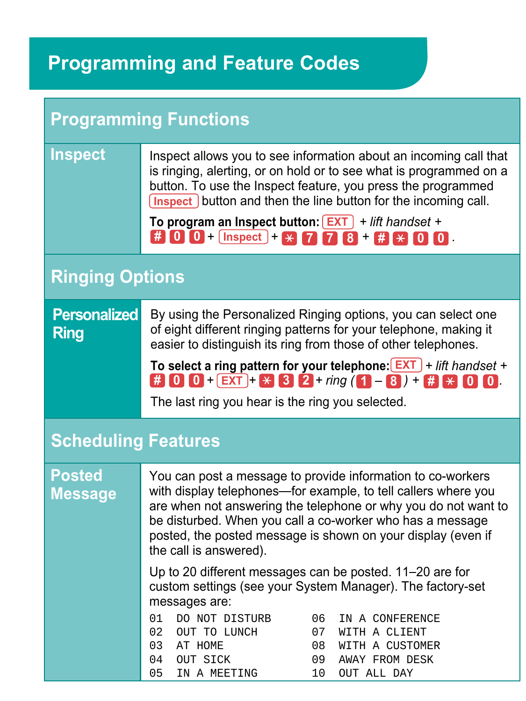| <b>Programming Functions</b>       |                                                                                                                                                                                                                                                                                                                                                                                                                                                                                                                                                                                                                                           |  |
|------------------------------------|-------------------------------------------------------------------------------------------------------------------------------------------------------------------------------------------------------------------------------------------------------------------------------------------------------------------------------------------------------------------------------------------------------------------------------------------------------------------------------------------------------------------------------------------------------------------------------------------------------------------------------------------|--|
| <b>Inspect</b>                     | Inspect allows you to see information about an incoming call that<br>is ringing, alerting, or on hold or to see what is programmed on a<br>button. To use the Inspect feature, you press the programmed<br>Inspect button and then the line button for the incoming call.<br>To program an Inspect button: $\boxed{\text{EXT}}$ + lift handset +<br># 0 0 + $\text{Inspect}$ + $\angle$ 7 7 8 + # $\angle$ 0 0                                                                                                                                                                                                                            |  |
| <b>Ringing Options</b>             |                                                                                                                                                                                                                                                                                                                                                                                                                                                                                                                                                                                                                                           |  |
| <b>Personalized</b><br><b>Ring</b> | By using the Personalized Ringing options, you can select one<br>of eight different ringing patterns for your telephone, making it<br>easier to distinguish its ring from those of other telephones.<br>To select a ring pattern for your telephone: $EXT$ + lift handset +<br>$\frac{1}{24}$ 0 0 + EXT + $\frac{1}{24}$ 3 2 + ring (1 - 8 ) + $\frac{1}{44}$ $\frac{1}{24}$ 0 0<br>The last ring you hear is the ring you selected.                                                                                                                                                                                                      |  |
| <b>Scheduling Features</b>         |                                                                                                                                                                                                                                                                                                                                                                                                                                                                                                                                                                                                                                           |  |
| <b>Posted</b><br><b>Message</b>    | You can post a message to provide information to co-workers<br>with display telephones—for example, to tell callers where you<br>are when not answering the telephone or why you do not want to<br>be disturbed. When you call a co-worker who has a message<br>posted, the posted message is shown on your display (even if<br>the call is answered).<br>Up to 20 different messages can be posted. 11–20 are for<br>custom settings (see your System Manager). The factory-set<br>messages are:<br>01<br>DO NOT DISTURB<br>06<br>IN A CONFERENCE<br>02<br>07<br>OUT TO LUNCH<br>WITH A CLIENT<br>03<br>AT HOME<br>08<br>WITH A CUSTOMER |  |
|                                    | 09<br>04<br>OUT SICK<br>AWAY FROM DESK<br>05<br>10<br>IN A MEETING<br>OUT ALL DAY                                                                                                                                                                                                                                                                                                                                                                                                                                                                                                                                                         |  |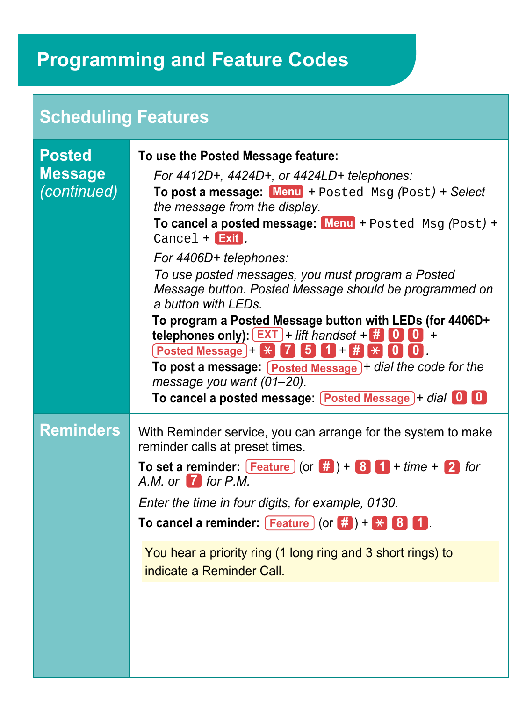### **Scheduling Features**

| <b>Posted</b><br><b>Message</b><br>(continued) | To use the Posted Message feature:<br>For 4412D+, 4424D+, or 4424LD+ telephones:<br>To post a message: Menu + Posted Msg (Post) + Select<br>the message from the display.<br>To cancel a posted message: Menu + Posted Msg (Post) +<br>$Cancel + Exit$ .<br>For 4406D+ telephones:<br>To use posted messages, you must program a Posted<br>Message button. Posted Message should be programmed on<br>a button with LEDs.<br>To program a Posted Message button with LEDs (for 4406D+<br>telephones only): $\boxed{\mathsf{EXT}}$ + lift handset + $\blacksquare$ $\blacksquare$ +<br>$[Posted Message] +   \times   7   5   1   +   \#   \times   0   0  $<br>To post a message: Posted Message + dial the code for the<br>message you want (01-20).<br>To cancel a posted message: $\lceil$ Posted Message $\rceil$ + dial $\lceil 0 \rceil$ |
|------------------------------------------------|-----------------------------------------------------------------------------------------------------------------------------------------------------------------------------------------------------------------------------------------------------------------------------------------------------------------------------------------------------------------------------------------------------------------------------------------------------------------------------------------------------------------------------------------------------------------------------------------------------------------------------------------------------------------------------------------------------------------------------------------------------------------------------------------------------------------------------------------------|
| <b>Reminders</b>                               | With Reminder service, you can arrange for the system to make<br>reminder calls at preset times.<br>To set a reminder: $\boxed{\text{Feature}}$ (or $\frac{m}{n}$ ) + 8 $\boxed{1}$ + time + 2 for<br>A.M. or $\overline{I}$ for P.M.<br>Enter the time in four digits, for example, 0130.<br>To cancel a reminder: $[Feature]$ (or $\#$ ) + $\#$ 8 1.<br>You hear a priority ring (1 long ring and 3 short rings) to<br>indicate a Reminder Call.                                                                                                                                                                                                                                                                                                                                                                                            |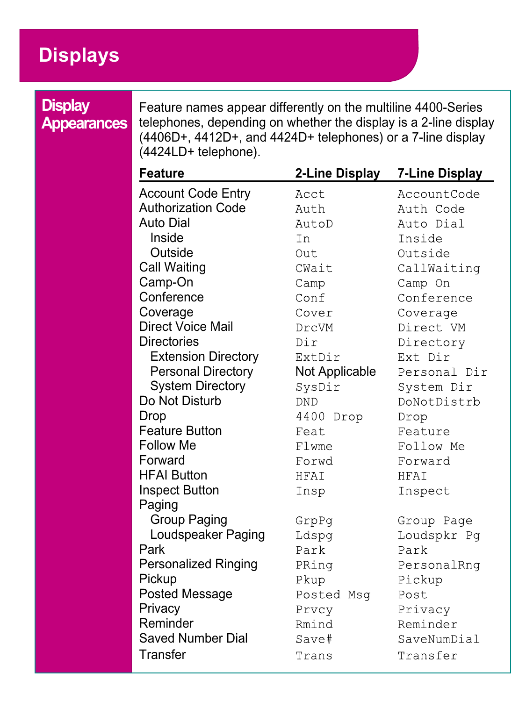### <span id="page-21-0"></span>**Displays**

### **Display Appearances**

Feature names appear differently on the multiline 4400-Series telephones, depending on whether the display is a 2-line display (4406D+, 4412D+, and 4424D+ telephones) or a 7-line display (4424LD+ telephone).

| Feature                    | 2-Line Display | 7-Line Display |
|----------------------------|----------------|----------------|
| <b>Account Code Entry</b>  | Acct.          | AccountCode    |
| <b>Authorization Code</b>  | Auth           | Auth Code      |
| Auto Dial                  | AutoD          | Auto Dial      |
| Inside                     | T <sub>n</sub> | Inside         |
| Outside                    | Out            | Outside        |
| Call Waiting               | CWait          | CallWaiting    |
| Camp-On                    | Camp           | Camp On        |
| Conference                 | Conf           | Conference     |
| Coverage                   | Cover          | Coverage       |
| <b>Direct Voice Mail</b>   | DrcVM          | Direct VM      |
| <b>Directories</b>         | Dir            | Directory      |
| <b>Extension Directory</b> | ExtDir         | Ext Dir        |
| <b>Personal Directory</b>  | Not Applicable | Personal Dir   |
| <b>System Directory</b>    | SysDir         | System Dir     |
| Do Not Disturb             | <b>DND</b>     | DoNotDistrb    |
| Drop                       | 4400 Drop      | Drop           |
| Feature Button             | Feat           | Feature        |
| Follow Me                  | Flwme          | Follow Me      |
| Forward                    | Forwd          | Forward        |
| <b>HFAI Button</b>         | <b>HFAI</b>    | <b>HFAT</b>    |
| <b>Inspect Button</b>      | Insp           | Inspect        |
| Paging                     |                |                |
| Group Paging               | GrpPq          | Group Page     |
| Loudspeaker Paging         | Ldspg          | Loudspkr Pq    |
| Park                       | Park           | Park           |
| Personalized Ringing       | PRing          | PersonalRng    |
| Pickup                     | Pkup           | Pickup         |
| Posted Message             | Posted Msq     | Post           |
| Privacy                    | Prvcy          | Privacy        |
| Reminder                   | Rmind          | Reminder       |
| Saved Number Dial          | Save#          | SaveNumDial    |
| Transfer                   | Trans          | Transfer       |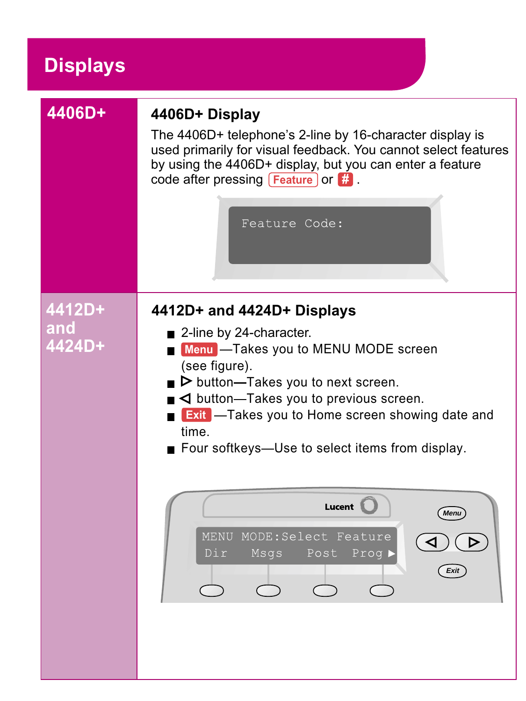### **Displays**

| 4406D+        | 4406D+ Display<br>The 4406D+ telephone's 2-line by 16-character display is<br>used primarily for visual feedback. You cannot select features<br>by using the 4406D+ display, but you can enter a feature<br>code after pressing $[Feature]$ or $#$ .<br>Feature Code:                                                                             |
|---------------|---------------------------------------------------------------------------------------------------------------------------------------------------------------------------------------------------------------------------------------------------------------------------------------------------------------------------------------------------|
| 4412D+        | 4412D+ and 4424D+ Displays                                                                                                                                                                                                                                                                                                                        |
| and<br>4424D+ | ■ 2-line by 24-character.<br>Menu - Takes you to MENU MODE screen<br>(see figure).<br>$\blacktriangleright$ button-Takes you to next screen.<br>$\blacksquare$ $\blacktriangleleft$ button—Takes you to previous screen.<br><b>Exit</b> - Takes you to Home screen showing date and<br>time.<br>■ Four softkeys—Use to select items from display. |
|               | Lucent L<br><b>Menu</b><br>MENU MODE: Select Feature<br>⊳<br>Dir.<br>Msqs<br>Post<br>Prog )<br>Exit                                                                                                                                                                                                                                               |
|               |                                                                                                                                                                                                                                                                                                                                                   |